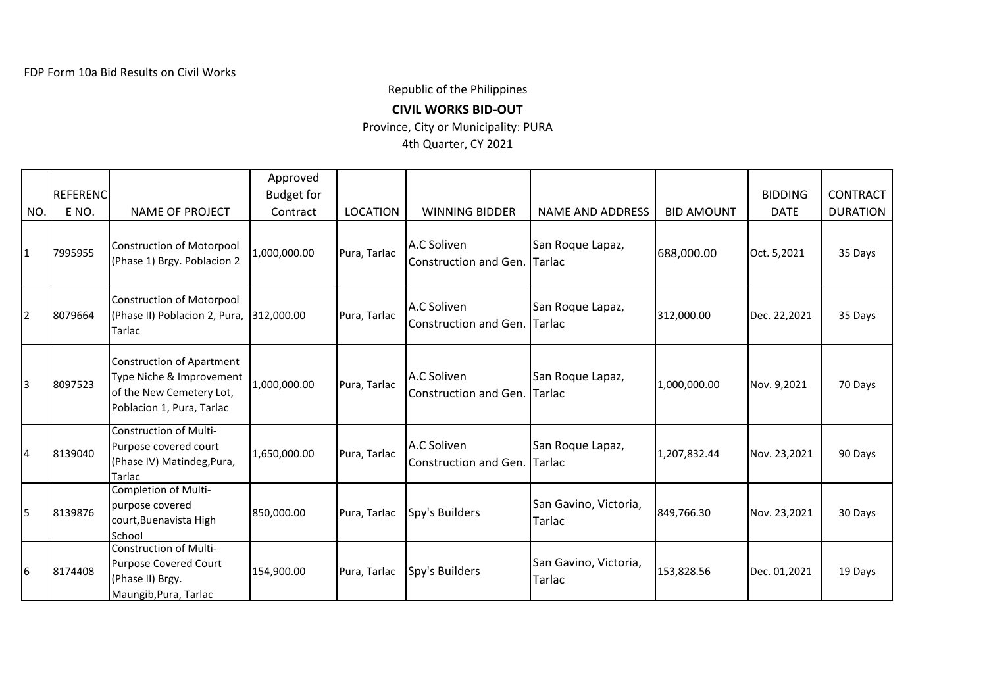Republic of the Philippines

**CIVIL WORKS BID-OUT**

Province, City or Municipality: PURA

4th Quarter, CY 2021

|                |          |                                                                                                                       | Approved          |                 |                                      |                                   |                   |                |                 |
|----------------|----------|-----------------------------------------------------------------------------------------------------------------------|-------------------|-----------------|--------------------------------------|-----------------------------------|-------------------|----------------|-----------------|
|                | REFERENC |                                                                                                                       | <b>Budget for</b> |                 |                                      |                                   |                   | <b>BIDDING</b> | <b>CONTRACT</b> |
| NO.            | E NO.    | <b>NAME OF PROJECT</b>                                                                                                | Contract          | <b>LOCATION</b> | <b>WINNING BIDDER</b>                | <b>NAME AND ADDRESS</b>           | <b>BID AMOUNT</b> | <b>DATE</b>    | <b>DURATION</b> |
| $\mathbf{1}$   | 7995955  | <b>Construction of Motorpool</b><br>(Phase 1) Brgy. Poblacion 2                                                       | 1,000,000.00      | Pura, Tarlac    | A.C Soliven<br>Construction and Gen. | San Roque Lapaz,<br>Tarlac        | 688,000.00        | Oct. 5,2021    | 35 Days         |
| $\overline{2}$ | 8079664  | <b>Construction of Motorpool</b><br>(Phase II) Poblacion 2, Pura,<br><b>Tarlac</b>                                    | 312,000.00        | Pura, Tarlac    | A.C Soliven<br>Construction and Gen. | San Roque Lapaz,<br>Tarlac        | 312,000.00        | Dec. 22,2021   | 35 Days         |
| 3              | 8097523  | <b>Construction of Apartment</b><br>Type Niche & Improvement<br>of the New Cemetery Lot,<br>Poblacion 1, Pura, Tarlac | 1,000,000.00      | Pura, Tarlac    | A.C Soliven<br>Construction and Gen. | San Roque Lapaz,<br><b>Tarlac</b> | 1,000,000.00      | Nov. 9,2021    | 70 Days         |
| 4              | 8139040  | <b>Construction of Multi-</b><br>Purpose covered court<br>(Phase IV) Matindeg, Pura,<br>Tarlac                        | 1,650,000.00      | Pura, Tarlac    | A.C Soliven<br>Construction and Gen. | San Roque Lapaz,<br>Tarlac        | 1,207,832.44      | Nov. 23,2021   | 90 Days         |
| 5              | 8139876  | Completion of Multi-<br>purpose covered<br>court, Buenavista High<br>School                                           | 850,000.00        | Pura, Tarlac    | Spy's Builders                       | San Gavino, Victoria,<br>Tarlac   | 849,766.30        | Nov. 23,2021   | 30 Days         |
| 16             | 8174408  | Construction of Multi-<br>Purpose Covered Court<br>(Phase II) Brgy.<br>Maungib, Pura, Tarlac                          | 154,900.00        | Pura, Tarlac    | Spy's Builders                       | San Gavino, Victoria,<br>Tarlac   | 153,828.56        | Dec. 01,2021   | 19 Days         |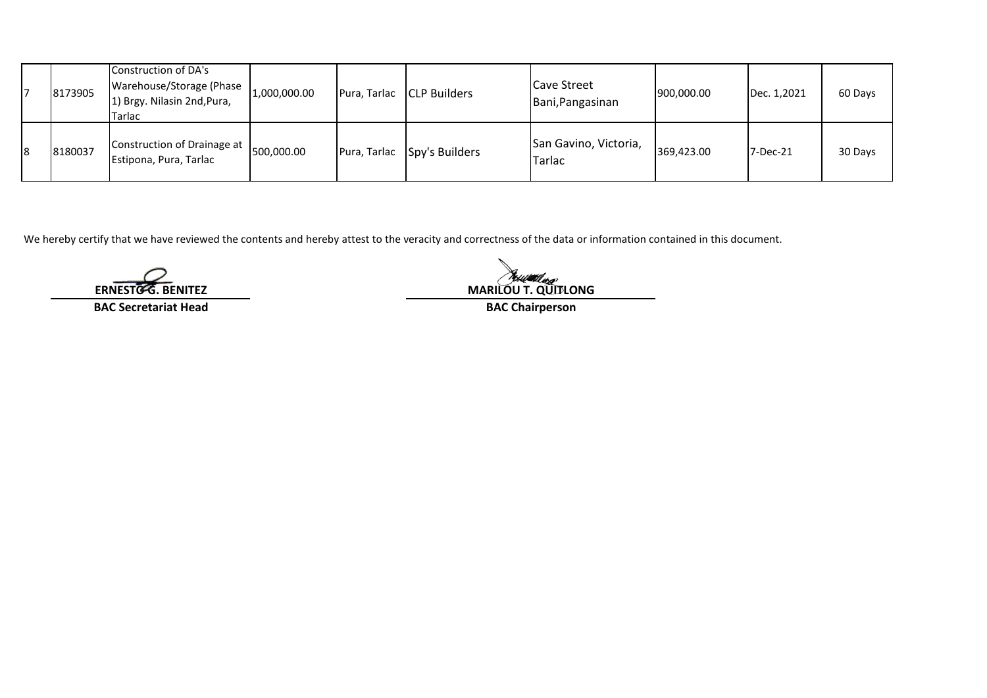| 8173905 | Construction of DA's<br>Warehouse/Storage (Phase<br>[1] Brgy. Nilasin 2nd, Pura,<br>Tarlac | 1,000,000.00 | Pura, Tarlac | <b>CLP Builders</b>         | <b>Cave Street</b><br>Bani, Pangasinan | 900,000.00 | Dec. 1,2021 | 60 Days |
|---------|--------------------------------------------------------------------------------------------|--------------|--------------|-----------------------------|----------------------------------------|------------|-------------|---------|
| 8180037 | Construction of Drainage at<br>Estipona, Pura, Tarlac                                      | 500,000.00   |              | Pura, Tarlac Spy's Builders | San Gavino, Victoria,<br>Tarlac        | 369,423.00 | 7-Dec-21    | 30 Days |

We hereby certify that we have reviewed the contents and hereby attest to the veracity and correctness of the data or information contained in this document.

**BAC Secretariat Head BAC Chairperson**

**ERNESTO G. BENITEZ**<br> **ERNESTO G. BENITEZ MARILOU T. QUITLONG**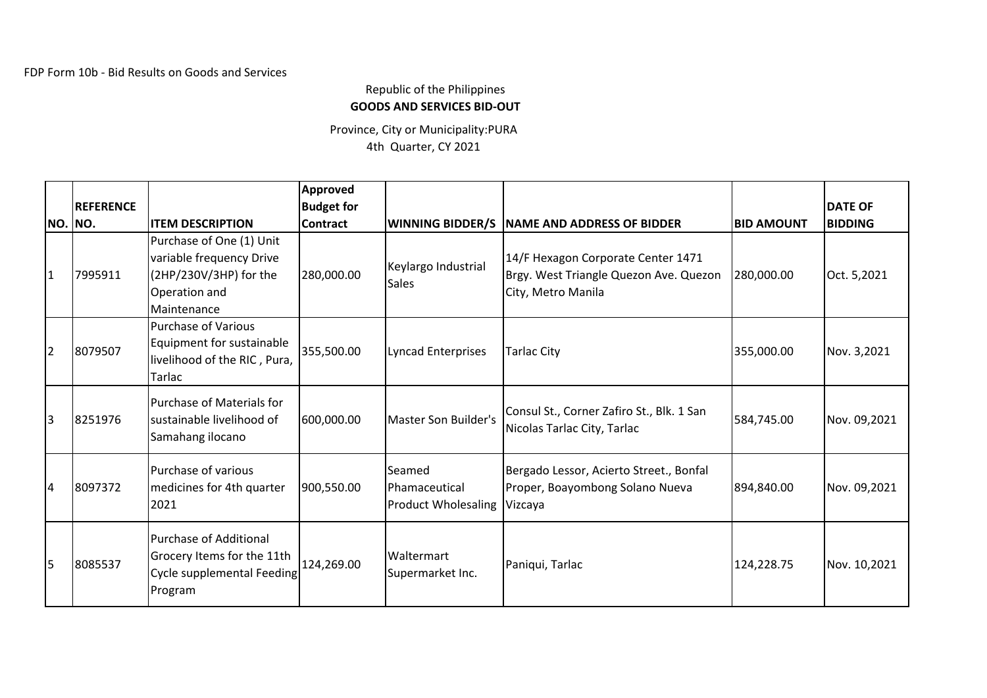## Republic of the Philippines **GOODS AND SERVICES BID-OUT**

Province, City or Municipality:PURA 4th Quarter, CY 2021

| <b>NO. NO.</b> | <b>REFERENCE</b> | <b>ITEM DESCRIPTION</b>                                                                                        | <b>Approved</b><br><b>Budget for</b><br><b>Contract</b> |                                                       | <b>WINNING BIDDER/S NAME AND ADDRESS OF BIDDER</b>                                                 | <b>BID AMOUNT</b> | <b>DATE OF</b><br><b>BIDDING</b> |
|----------------|------------------|----------------------------------------------------------------------------------------------------------------|---------------------------------------------------------|-------------------------------------------------------|----------------------------------------------------------------------------------------------------|-------------------|----------------------------------|
| 1              | 7995911          | Purchase of One (1) Unit<br>variable frequency Drive<br>(2HP/230V/3HP) for the<br>Operation and<br>Maintenance | 280,000.00                                              | Keylargo Industrial<br><b>Sales</b>                   | 14/F Hexagon Corporate Center 1471<br>Brgy. West Triangle Quezon Ave. Quezon<br>City, Metro Manila | 280,000.00        | Oct. 5,2021                      |
| $\overline{2}$ | 8079507          | <b>Purchase of Various</b><br>Equipment for sustainable<br>livelihood of the RIC, Pura,<br>Tarlac              | 355,500.00                                              | <b>Lyncad Enterprises</b>                             | <b>Tarlac City</b>                                                                                 | 355,000.00        | Nov. 3,2021                      |
| 3              | 8251976          | <b>Purchase of Materials for</b><br>sustainable livelihood of<br>Samahang ilocano                              | 600,000.00                                              | Master Son Builder's                                  | Consul St., Corner Zafiro St., Blk. 1 San<br>Nicolas Tarlac City, Tarlac                           | 584,745.00        | Nov. 09,2021                     |
| 14             | 8097372          | Purchase of various<br>medicines for 4th quarter<br>2021                                                       | 900,550.00                                              | Seamed<br>Phamaceutical<br><b>Product Wholesaling</b> | Bergado Lessor, Acierto Street., Bonfal<br>Proper, Boayombong Solano Nueva<br>Vizcaya              | 894,840.00        | Nov. 09,2021                     |
| 5              | 8085537          | <b>Purchase of Additional</b><br>Grocery Items for the 11th<br>Cycle supplemental Feeding<br>Program           | 124,269.00                                              | Waltermart<br>Supermarket Inc.                        | Paniqui, Tarlac                                                                                    | 124,228.75        | Nov. 10,2021                     |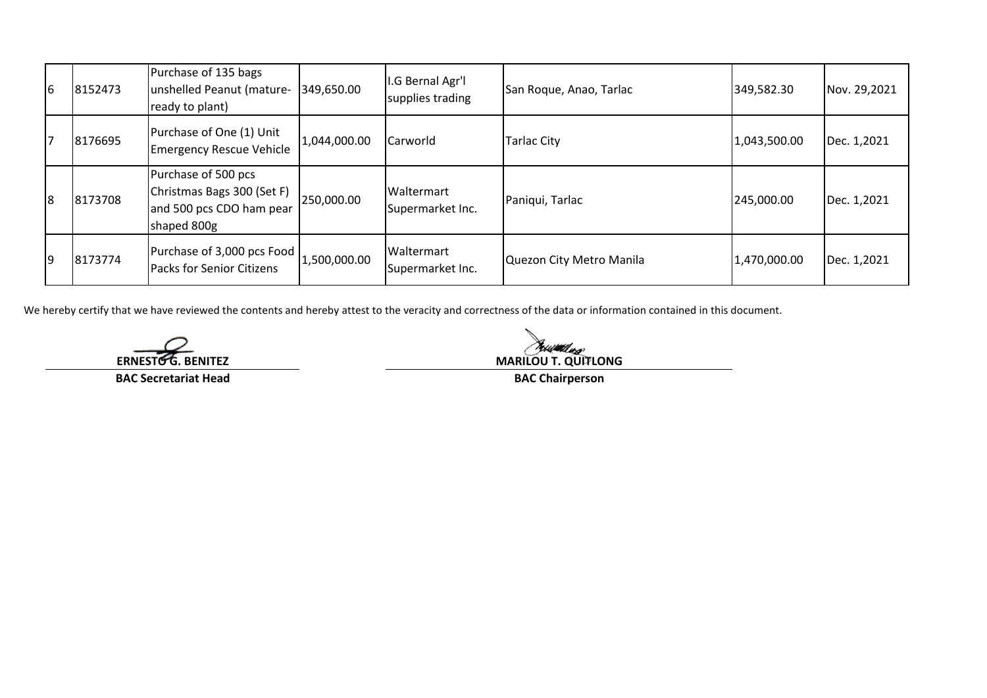| l6 | 8152473 | Purchase of 135 bags<br>unshelled Peanut (mature-<br>ready to plant)                         | 349,650.00   | I.G Bernal Agr'l<br>supplies trading | San Roque, Anao, Tarlac  | 349,582.30   | Nov. 29,2021 |
|----|---------|----------------------------------------------------------------------------------------------|--------------|--------------------------------------|--------------------------|--------------|--------------|
|    | 8176695 | Purchase of One (1) Unit<br><b>Emergency Rescue Vehicle</b>                                  | 1,044,000.00 | Carworld                             | <b>Tarlac City</b>       | 1,043,500.00 | Dec. 1,2021  |
| l8 | 8173708 | Purchase of 500 pcs<br>Christmas Bags 300 (Set F)<br>and 500 pcs CDO ham pear<br>shaped 800g | 250,000.00   | Waltermart<br>Supermarket Inc.       | Paniqui, Tarlac          | 245,000.00   | Dec. 1,2021  |
| 19 | 8173774 | Purchase of 3,000 pcs Food<br><b>Packs for Senior Citizens</b>                               | 1,500,000.00 | Waltermart<br>Supermarket Inc.       | Quezon City Metro Manila | 1,470,000.00 | Dec. 1,2021  |

We hereby certify that we have reviewed the contents and hereby attest to the veracity and correctness of the data or information contained in this document.

**ERNESTO G. BENITEZ**

**BAC Secretariat Head**

**MARILOU T. QUITLONG** 

**BAC Chairperson**